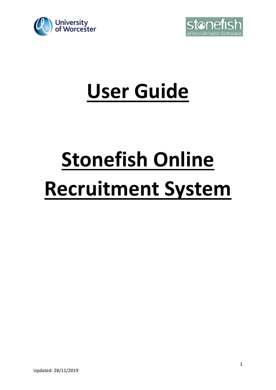



# **User Guide**

# **Stonefish Online Recruitment System**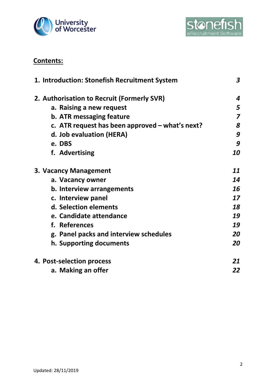



# **Contents:**

| 1. Introduction: Stonefish Recruitment System   | $\boldsymbol{3}$        |
|-------------------------------------------------|-------------------------|
| 2. Authorisation to Recruit (Formerly SVR)      | 4                       |
| a. Raising a new request                        | 5                       |
| <b>b. ATR messaging feature</b>                 | $\overline{\mathbf{z}}$ |
| c. ATR request has been approved - what's next? | 8                       |
| d. Job evaluation (HERA)                        | 9                       |
| e. DBS                                          | 9                       |
| f. Advertising                                  | 10                      |
| 3. Vacancy Management                           | 11                      |
| a. Vacancy owner                                | 14                      |
| b. Interview arrangements                       | 16                      |
| c. Interview panel                              | 17                      |
| d. Selection elements                           | 18                      |
| e. Candidate attendance                         | 19                      |
| f. References                                   | 19                      |
| g. Panel packs and interview schedules          | 20                      |
| h. Supporting documents                         | 20                      |
| 4. Post-selection process                       | 21                      |
| a. Making an offer                              | 22                      |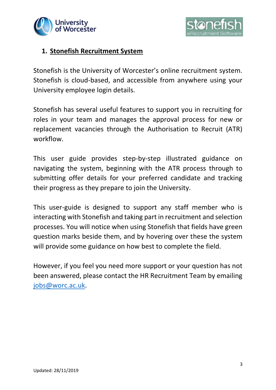



### **1. Stonefish Recruitment System**

Stonefish is the University of Worcester's online recruitment system. Stonefish is cloud-based, and accessible from anywhere using your University employee login details.

Stonefish has several useful features to support you in recruiting for roles in your team and manages the approval process for new or replacement vacancies through the Authorisation to Recruit (ATR) workflow.

This user guide provides step-by-step illustrated guidance on navigating the system, beginning with the ATR process through to submitting offer details for your preferred candidate and tracking their progress as they prepare to join the University.

This user-guide is designed to support any staff member who is interacting with Stonefish and taking part in recruitment and selection processes. You will notice when using Stonefish that fields have green question marks beside them, and by hovering over these the system will provide some guidance on how best to complete the field.

However, if you feel you need more support or your question has not been answered, please contact the HR Recruitment Team by emailing [jobs@worc.ac.uk.](mailto:jobs@worc.ac.uk)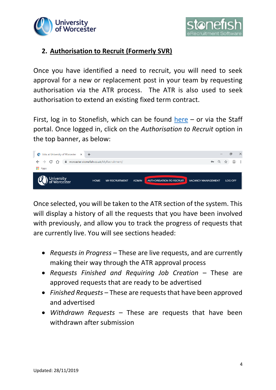



# **2. Authorisation to Recruit (Formerly SVR)**

Once you have identified a need to recruit, you will need to seek approval for a new or replacement post in your team by requesting authorisation via the ATR process. The ATR is also used to seek authorisation to extend an existing fixed term contract.

First, log in to Stonefish, which can be found [here](https://jobs.worcester.ac.uk/)  $-$  or via the Staff portal. Once logged in, click on the *Authorisation to Recruit* option in the top banner, as below:



Once selected, you will be taken to the ATR section of the system. This will display a history of all the requests that you have been involved with previously, and allow you to track the progress of requests that are currently live. You will see sections headed:

- *Requests in Progress*  These are live requests, and are currently making their way through the ATR approval process
- *Requests Finished and Requiring Job Creation* These are approved requests that are ready to be advertised
- *Finished Requests*  These are requests that have been approved and advertised
- *Withdrawn Requests* These are requests that have been withdrawn after submission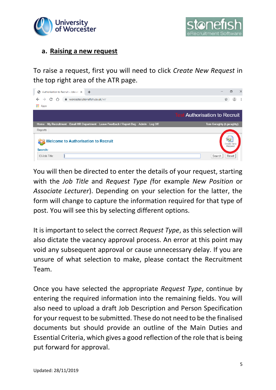



#### **a. Raising a new request**

To raise a request, first you will need to click *Create New Request* in the top right area of the ATR page.



You will then be directed to enter the details of your request, starting with the *Job Title* and *Request Type (*for example *New Position* or *Associate Lecturer*). Depending on your selection for the latter, the form will change to capture the information required for that type of post. You will see this by selecting different options.

It is important to select the correct *Request Type*, as this selection will also dictate the vacancy approval process. An error at this point may void any subsequent approval or cause unnecessary delay. If you are unsure of what selection to make, please contact the Recruitment Team.

Once you have selected the appropriate *Request Type*, continue by entering the required information into the remaining fields. You will also need to upload a draft Job Description and Person Specification for your request to be submitted. These do not need to be the finalised documents but should provide an outline of the Main Duties and Essential Criteria, which gives a good reflection of the role that is being put forward for approval.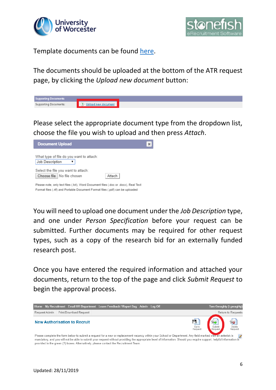



Template documents can be found [here.](https://www2.worc.ac.uk/personnel/765.htm)

The documents should be uploaded at the bottom of the ATR request page, by clicking the *Upload new document* button:



Please select the appropriate document type from the dropdown list, choose the file you wish to upload and then press *Attach*.

| <b>Document Upload</b>                                                                                                                                               |        | $\boldsymbol{\times}$ |
|----------------------------------------------------------------------------------------------------------------------------------------------------------------------|--------|-----------------------|
| What type of file do you want to attach:<br>Job Description                                                                                                          |        |                       |
| Select the file you want to attach:<br>Choose file   No file chosen                                                                                                  | Attach |                       |
| Please note, only text files (.txt), Word Document files (.doc or .docx), Real Text<br>Format files (.rtf) and Portable Document Format files (.pdf) can be uploaded |        |                       |

You will need to upload one document under the *Job Description* type, and one under *Person Specification* before your request can be submitted. Further documents may be required for other request types, such as a copy of the research bid for an externally funded research post.

Once you have entered the required information and attached your documents, return to the top of the page and click *Submit Request* to begin the approval process.

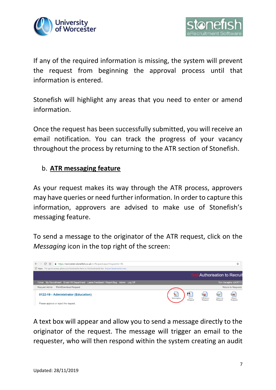



If any of the required information is missing, the system will prevent the request from beginning the approval process until that information is entered.

Stonefish will highlight any areas that you need to enter or amend information.

Once the request has been successfully submitted, you will receive an email notification. You can track the progress of your vacancy throughout the process by returning to the ATR section of Stonefish.

# b. **ATR messaging feature**

As your request makes its way through the ATR process, approvers may have queries or need further information. In order to capture this information, approvers are advised to make use of Stonefish's messaging feature.

To send a message to the originator of the ATR request, click on the *Messaging* icon in the top right of the screen:



A text box will appear and allow you to send a message directly to the originator of the request. The message will trigger an email to the requester, who will then respond within the system creating an audit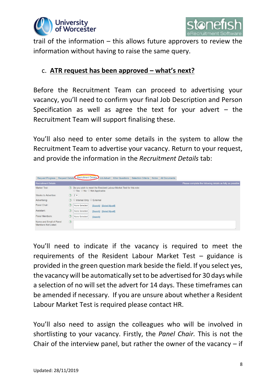



trail of the information – this allows future approvers to review the information without having to raise the same query.

#### c. **ATR request has been approved – what's next?**

Before the Recruitment Team can proceed to advertising your vacancy, you'll need to confirm your final Job Description and Person Specification as well as agree the text for your advert  $-$  the Recruitment Team will support finalising these.

You'll also need to enter some details in the system to allow the Recruitment Team to advertise your vacancy. Return to your request, and provide the information in the *Recruitment Details* tab:

| Request Progress   Request Details   Recruitment Details |               |                                               |                                                                        | Job Advert   Killer Questions   Selection Criteria   Notes   All Documents |  |                                                            |
|----------------------------------------------------------|---------------|-----------------------------------------------|------------------------------------------------------------------------|----------------------------------------------------------------------------|--|------------------------------------------------------------|
| <b>Recruitment Details</b>                               |               |                                               |                                                                        |                                                                            |  | Please complete the following details as fully as possible |
| Market Test:                                             |               | $\circ$ Yes $\circ$ No $\circ$ Not Applicable | (?) Do you wish to meet the Resident Labour Market Test for this role: |                                                                            |  |                                                            |
| Weeks to Advertise:                                      |               | $(2)$ 2 $\blacktriangledown$                  |                                                                        |                                                                            |  |                                                            |
| Advertising:                                             |               | (?) © Internal Only ◯ External                |                                                                        |                                                                            |  |                                                            |
| Panel Chair:                                             | (?)           | None Selected                                 | [Search] [Select Myself]                                               |                                                                            |  |                                                            |
| Assistant:                                               | (3)           | None Selected                                 | [Search] [Select Myself]                                               |                                                                            |  |                                                            |
| Panel Members:                                           | (2)           | <b>None Selected</b>                          | [Search]                                                               |                                                                            |  |                                                            |
| Name and Email of Panel<br>Members Not Listed:           | $\circled{?}$ |                                               |                                                                        |                                                                            |  |                                                            |

You'll need to indicate if the vacancy is required to meet the requirements of the Resident Labour Market Test – guidance is provided in the green question mark beside the field. If you select yes, the vacancy will be automatically set to be advertised for 30 days while a selection of no will set the advert for 14 days. These timeframes can be amended if necessary. If you are unsure about whether a Resident Labour Market Test is required please contact HR.

You'll also need to assign the colleagues who will be involved in shortlisting to your vacancy. Firstly, the *Panel Chair.* This is not the Chair of the interview panel, but rather the owner of the vacancy  $-$  if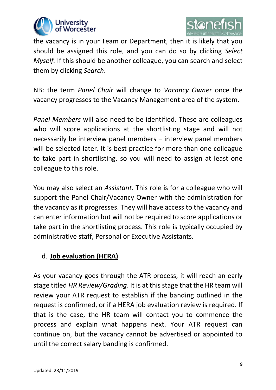



the vacancy is in your Team or Department, then it is likely that you should be assigned this role, and you can do so by clicking *Select Myself.* If this should be another colleague, you can search and select them by clicking *Search*.

NB: the term *Panel Chair* will change to *Vacancy Owner* once the vacancy progresses to the Vacancy Management area of the system.

*Panel Members* will also need to be identified. These are colleagues who will score applications at the shortlisting stage and will not necessarily be interview panel members – interview panel members will be selected later. It is best practice for more than one colleague to take part in shortlisting, so you will need to assign at least one colleague to this role.

You may also select an *Assistant*. This role is for a colleague who will support the Panel Chair/Vacancy Owner with the administration for the vacancy as it progresses. They will have access to the vacancy and can enter information but will not be required to score applications or take part in the shortlisting process. This role is typically occupied by administrative staff, Personal or Executive Assistants.

# d. **Job evaluation (HERA)**

As your vacancy goes through the ATR process, it will reach an early stage titled *HR Review/Grading*. It is at this stage that the HR team will review your ATR request to establish if the banding outlined in the request is confirmed, or if a HERA job evaluation review is required. If that is the case, the HR team will contact you to commence the process and explain what happens next. Your ATR request can continue on, but the vacancy cannot be advertised or appointed to until the correct salary banding is confirmed.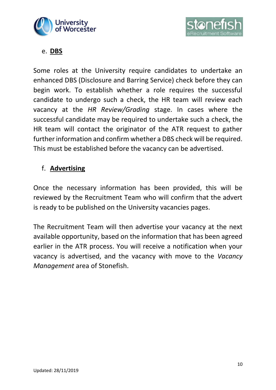



e. **DBS**

Some roles at the University require candidates to undertake an enhanced DBS (Disclosure and Barring Service) check before they can begin work. To establish whether a role requires the successful candidate to undergo such a check, the HR team will review each vacancy at the *HR Review/Grading* stage. In cases where the successful candidate may be required to undertake such a check, the HR team will contact the originator of the ATR request to gather further information and confirm whether a DBS check will be required. This must be established before the vacancy can be advertised.

# f. **Advertising**

Once the necessary information has been provided, this will be reviewed by the Recruitment Team who will confirm that the advert is ready to be published on the University vacancies pages.

The Recruitment Team will then advertise your vacancy at the next available opportunity, based on the information that has been agreed earlier in the ATR process. You will receive a notification when your vacancy is advertised, and the vacancy with move to the *Vacancy Management* area of Stonefish.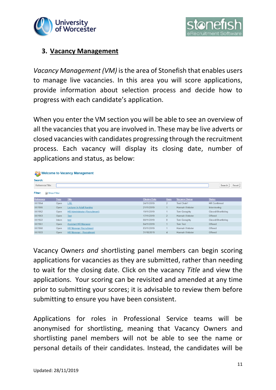



#### **3. Vacancy Management**

*Vacancy Management (VM)* is the area of Stonefish that enables users to manage live vacancies. In this area you will score applications, provide information about selection process and decide how to progress with each candidate's application.

When you enter the VM section you will be able to see an overview of all the vacancies that you are involved in. These may be live adverts or closed vacancies with candidates progressing through the recruitment process. Each vacancy will display its closing date, number of applications and status, as below:

|                           |             | <b>SA Welcome to Vacancy Management</b> |                     |                |                      |                     |
|---------------------------|-------------|-----------------------------------------|---------------------|----------------|----------------------|---------------------|
| Search:                   |             |                                         |                     |                |                      |                     |
| Reference/Title:          |             |                                         |                     |                |                      | Search<br>Reset     |
| Filter:<br>El Show Filter |             |                                         |                     |                |                      |                     |
| Reference                 | <b>Type</b> | <b>Title</b>                            | <b>Closing Date</b> | <b>Apps</b>    | <b>Vacancy Owner</b> | <b>Status</b>       |
| XX1954                    | Open        | L/SL                                    | 24/11/2019          | $\overline{2}$ | Test Chair1          | <b>HR Confirmed</b> |
| XX1955                    | Open        | Lecturer in Adult Nursing               | 21/11/2019          |                | Hannah Webster       | Interviewing        |
| XX1952                    | Open        | HR Administrator (Recruitment)          | 19/11/2019          |                | Tom Geraghty         | Closed/Shortlisting |
| XX1953                    | Open        | <b>Test</b>                             | 17/11/2019          | $\overline{2}$ | Hannah Webster       | Offered             |
| XX1922                    | Intern      | test                                    | 08/11/2019          | $\mathbf{0}$   | Tom Geraghty         | Closed/Shortlisting |
| XX1951                    | Open        | <b>Assistant HR Manager</b>             | 04/11/2019          |                | Tom Test             | Offered             |
| XX1950                    | Open        | <b>HR Manager Recruitment</b>           | 03/11/2019          |                | Hannah Webster       | Offered             |
| XX1933                    | Open        | <b>HR Manager - Recruitment</b>         | 31/10/2019          | $\overline{4}$ | Hannah Webster       | Offered             |

Vacancy Owner*s and* shortlisting panel members can begin scoring applications for vacancies as they are submitted, rather than needing to wait for the closing date. Click on the vacancy *Title* and view the applications. Your scoring can be revisited and amended at any time prior to submitting your scores; it is advisable to review them before submitting to ensure you have been consistent.

Applications for roles in Professional Service teams will be anonymised for shortlisting, meaning that Vacancy Owners and shortlisting panel members will not be able to see the name or personal details of their candidates. Instead, the candidates will be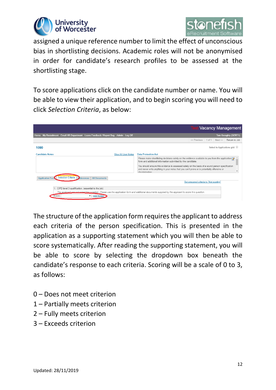



assigned a unique reference number to limit the effect of unconscious bias in shortlisting decisions. Academic roles will not be anonymised in order for candidate's research profiles to be assessed at the shortlisting stage.

To score applications click on the candidate number or name. You will be able to view their application, and to begin scoring you will need to click *Selection Criteria*, as below:

|                                                                                                                                                                                                                                                       | <b>Test Vacancy Management</b>                                                                                                                                                                                                                                                                                                                                                    |
|-------------------------------------------------------------------------------------------------------------------------------------------------------------------------------------------------------------------------------------------------------|-----------------------------------------------------------------------------------------------------------------------------------------------------------------------------------------------------------------------------------------------------------------------------------------------------------------------------------------------------------------------------------|
| My Recruitment Email HR Department Leave Feedback / Report Bug Admin Log Off<br>Home                                                                                                                                                                  | Tom Geraghty (GERT1)                                                                                                                                                                                                                                                                                                                                                              |
|                                                                                                                                                                                                                                                       | << Previous<br>Return to Job<br>1 of 1<br>Next                                                                                                                                                                                                                                                                                                                                    |
| 1090                                                                                                                                                                                                                                                  | Select in Applications grid                                                                                                                                                                                                                                                                                                                                                       |
| <b>Candidate Notes</b><br><b>View All User Notes</b>                                                                                                                                                                                                  | Data Protection Act                                                                                                                                                                                                                                                                                                                                                               |
|                                                                                                                                                                                                                                                       | Please make shortlisting decisions solely on the evidence available to you from the application<br>form and additional information submitted by the candidate.<br>You should ensure this evidence is assessed solely on the basis of a sound person specification<br>and never write anything in your notes that you can't prove or is potentially offensive or<br>discriminatory |
| <b>Selection Criteria</b><br><b>D</b> eferences<br><b>Application Form</b><br><b>All Documents</b>                                                                                                                                                    | Set unscored criteria to "Not scoring"                                                                                                                                                                                                                                                                                                                                            |
| 1: CIPD level 3 qualification. (essential to the job)<br>The applicant was not asked this question. Please use the application form and additional documents supplied by the applicant to score this question.<br>Add Notes<br>Score:<br>$\mathbf{v}$ |                                                                                                                                                                                                                                                                                                                                                                                   |

The structure of the application form requires the applicant to address each criteria of the person specification. This is presented in the application as a supporting statement which you will then be able to score systematically. After reading the supporting statement, you will be able to score by selecting the dropdown box beneath the candidate's response to each criteria. Scoring will be a scale of 0 to 3, as follows:

- 0 Does not meet criterion
- 1 Partially meets criterion
- 2 Fully meets criterion
- 3 Exceeds criterion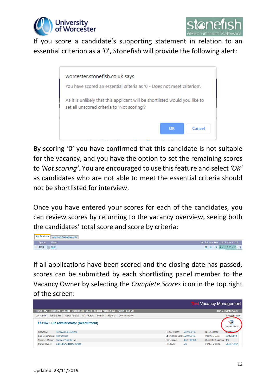



If you score a candidate's supporting statement in relation to an essential criterion as a '0', Stonefish will provide the following alert:



By scoring '0' you have confirmed that this candidate is not suitable for the vacancy, and you have the option to set the remaining scores to *'Not scoring'*. You are encouraged to use this feature and select *'OK'* as candidates who are not able to meet the essential criteria should not be shortlisted for interview.

Once you have entered your scores for each of the candidates, you can review scores by returning to the vacancy overview, seeing both the candidates' total score and score by criteria:



If all applications have been scored and the closing date has passed, scores can be submitted by each shortlisting panel member to the Vacancy Owner by selecting the *Complete Scores* icon in the top right of the screen:

|                                    |                                                                                   |            |        |         |                      |                               |                     | <b>Test Vacancy Management</b> |                                  |
|------------------------------------|-----------------------------------------------------------------------------------|------------|--------|---------|----------------------|-------------------------------|---------------------|--------------------------------|----------------------------------|
|                                    | Home My Recruitment Email HR Department Leave Feedback / Report Bug Admin Log Off |            |        |         |                      |                               |                     |                                | <b>Tom Geraghty (GERT1)</b>      |
| <b>Job Admin</b>                   | <b>Job Details</b><br>Scores / Notes                                              | Mail Merge | Search | Reports | <b>User Guidance</b> |                               |                     |                                | Return to Jobs                   |
|                                    | XX1952 - HR Administrator (Recruitment)                                           |            |        |         |                      |                               |                     |                                | $\mathcal{P}$<br>Complete Scores |
| Category:                          | <b>Professional Services</b>                                                      |            |        |         |                      | Release Date:                 | 05/11/2019          | <b>Closing Date:</b>           | 241704                           |
| <b>Sub Department: Recruitment</b> |                                                                                   |            |        |         |                      | Shortlist By Date: 22/11/2019 |                     | Interview Date:                | 25/12/2019                       |
|                                    | Vacancy Owner: Hannah Webster FI                                                  |            |        |         |                      | <b>HR</b> Contact:            | <b>Test HRStaff</b> | Submitted/Pending: 1/0         |                                  |
| Status (Type):                     | Closed/Shortlisting (Open)                                                        |            |        |         |                      | Hits/RSS:                     | 8/0                 | <b>Further Details:</b>        | <b>Show Advert</b>               |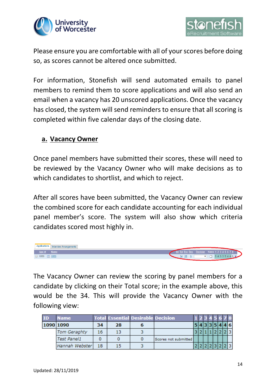



Please ensure you are comfortable with all of your scores before doing so, as scores cannot be altered once submitted.

For information, Stonefish will send automated emails to panel members to remind them to score applications and will also send an email when a vacancy has 20 unscored applications. Once the vacancy has closed, the system will send reminders to ensure that all scoring is completed within five calendar days of the closing date.

#### **a. Vacancy Owner**

Once panel members have submitted their scores, these will need to be reviewed by the Vacancy Owner who will make decisions as to which candidates to shortlist, and which to reject.

After all scores have been submitted, the Vacancy Owner can review the combined score for each candidate accounting for each individual panel member's score. The system will also show which criteria candidates scored most highly in.



The Vacancy Owner can review the scoring by panel members for a candidate by clicking on their Total score; in the example above, this would be the 34. This will provide the Vacancy Owner with the following view:

| <b>ID</b> | Name           |    |    | <b>Total Essential Desirable Decision</b> |                      |  |  | 45678           |  |     |
|-----------|----------------|----|----|-------------------------------------------|----------------------|--|--|-----------------|--|-----|
| 1090 1090 |                | 34 | 28 |                                           |                      |  |  | 5 4 3 3 5 4 4 6 |  |     |
|           | Tom Geraghty   | 16 | 13 |                                           |                      |  |  |                 |  | 2 3 |
|           | Test Panel1    |    |    |                                           | Scores not submitted |  |  |                 |  |     |
|           | Hannah Webster | 18 | 15 |                                           |                      |  |  |                 |  | 23  |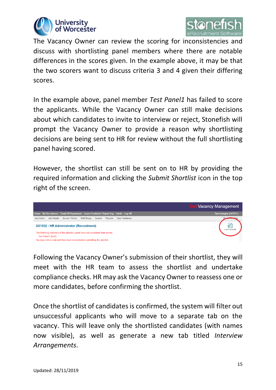



The Vacancy Owner can review the scoring for inconsistencies and discuss with shortlisting panel members where there are notable differences in the scores given. In the example above, it may be that the two scorers want to discuss criteria 3 and 4 given their differing scores.

In the example above, panel member *Test Panel1* has failed to score the applicants. While the Vacancy Owner can still make decisions about which candidates to invite to interview or reject, Stonefish will prompt the Vacancy Owner to provide a reason why shortlisting decisions are being sent to HR for review without the full shortlisting panel having scored.

However, the shortlist can still be sent on to HR by providing the required information and clicking the *Submit Shortlist* icon in the top right of the screen.



Following the Vacancy Owner's submission of their shortlist, they will meet with the HR team to assess the shortlist and undertake compliance checks. HR may ask the Vacancy Owner to reassess one or more candidates, before confirming the shortlist.

Once the shortlist of candidates is confirmed, the system will filter out unsuccessful applicants who will move to a separate tab on the vacancy. This will leave only the shortlisted candidates (with names now visible), as well as generate a new tab titled *Interview Arrangements*.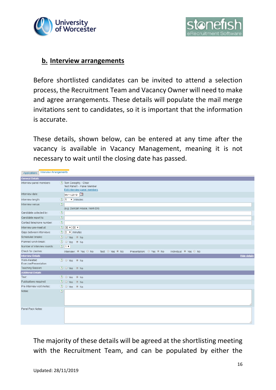



#### **b. Interview arrangements**

Before shortlisted candidates can be invited to attend a selection process, the Recruitment Team and Vacancy Owner will need to make and agree arrangements. These details will populate the mail merge invitations sent to candidates, so it is important that the information is accurate.

These details, shown below, can be entered at any time after the vacancy is available in Vacancy Management, meaning it is not necessary to wait until the closing date has passed.

| <b>Interview Arrangements</b><br>Applications |                                                                                                           |  |
|-----------------------------------------------|-----------------------------------------------------------------------------------------------------------|--|
| <b>General Details</b>                        |                                                                                                           |  |
| Interview panel members:                      | ? Tom Geraghty - Chair<br>Test Panel1 - Panel Member<br>Edit interview panel members                      |  |
| Interview date:                               | 05/11/2019                                                                                                |  |
| Interview length:                             | $\overline{\left(2\right)}$ 5 $\overline{\bullet}$ minutes                                                |  |
| Interview venue:                              | $\left( 7\right)$                                                                                         |  |
|                                               | (e.g. Duncan House, room D4)                                                                              |  |
| Candidate collected by:                       | $\circled{3}$                                                                                             |  |
| Candidate report to:                          | $\circled{3}$                                                                                             |  |
| Contact telephone number:                     | $\circled{3}$                                                                                             |  |
| Interview pre-meet at:                        | $\binom{?}{108}$ $\sqrt{00}$ $\sqrt{0}$                                                                   |  |
| Gaps between interviews:                      | $\left  \begin{array}{cc} 2 & 0 \\ \end{array} \right $ minutes                                           |  |
| Scheduled breaks:                             | $\bullet$ O Yes $\bullet$ No                                                                              |  |
| Planned lunch break:                          | <b>?</b> ⊙ Yes <sup>●</sup> No                                                                            |  |
| Number of interview rounds:                   | 21                                                                                                        |  |
| Check for clashes:                            | Test ⊙ Yes <sup>●</sup> No<br>Presentation: ○ Yes ● No<br>Individual: O Yes O No<br>Interview: O Yes O No |  |
| <b>Interview Details</b>                      | <b>Hide details</b>                                                                                       |  |
| Work-Related<br>Exercise/Presentation:        | $\bullet$ O Yes $\bullet$ No                                                                              |  |
| Teaching Session:                             | ? O Yes <sup>●</sup> No                                                                                   |  |
| <b>Additional Details</b>                     |                                                                                                           |  |
| Tour:                                         | $\bullet$ O Yes $\bullet$ No                                                                              |  |
| Publications required:                        | $\bullet$ O Yes $\bullet$ No                                                                              |  |
| Pre-Interview visit invites:                  | $\bigcirc$ $\circ$ Yes $\circ$ No                                                                         |  |
| Notes:                                        | $\circledR$                                                                                               |  |
| Panel Pack Notes:                             |                                                                                                           |  |

The majority of these details will be agreed at the shortlisting meeting with the Recruitment Team, and can be populated by either the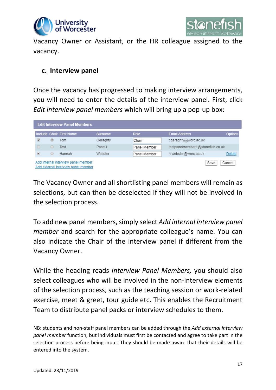



Vacancy Owner or Assistant, or the HR colleague assigned to the vacancy.

#### **c. Interview panel**

Once the vacancy has progressed to making interview arrangements, you will need to enter the details of the interview panel. First, click *Edit interview panel members* which will bring up a pop-up box:

|                | <b>Edit Interview Panel Members</b>                                        |                |              |                                  |                |
|----------------|----------------------------------------------------------------------------|----------------|--------------|----------------------------------|----------------|
|                | <b>Include Chair First Name</b>                                            | <b>Surname</b> | <b>Role</b>  | <b>Email Address</b>             | <b>Options</b> |
| $\circledcirc$ | Tom                                                                        | Geraghty       | Chair        | t.geraghty@worc.ac.uk            |                |
|                | Test                                                                       | Panel1         | Panel Member | testpanelmember1@stonefish.co.uk |                |
| O              | Hannah                                                                     | Webster        | Panel Member | h.webster@worc.ac.uk             | Delete         |
|                | Add internal interview panel member<br>Add external interview panel member |                |              | Save                             | Cancel         |

The Vacancy Owner and all shortlisting panel members will remain as selections, but can then be deselected if they will not be involved in the selection process.

To add new panel members, simply select *Add internal interview panel member* and search for the appropriate colleague's name. You can also indicate the Chair of the interview panel if different from the Vacancy Owner.

While the heading reads *Interview Panel Members,* you should also select colleagues who will be involved in the non-interview elements of the selection process, such as the teaching session or work-related exercise, meet & greet, tour guide etc. This enables the Recruitment Team to distribute panel packs or interview schedules to them.

NB: students and non-staff panel members can be added through the *Add external interview panel member* function, but individuals must first be contacted and agree to take part in the selection process before being input. They should be made aware that their details will be entered into the system.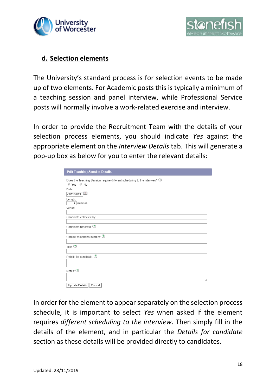



#### **d. Selection elements**

The University's standard process is for selection events to be made up of two elements. For Academic posts this is typically a minimum of a teaching session and panel interview, while Professional Service posts will normally involve a work-related exercise and interview.

In order to provide the Recruitment Team with the details of your selection process elements, you should indicate *Yes* against the appropriate element on the *Interview Details* tab. This will generate a pop-up box as below for you to enter the relevant details:

| <b>Edit Teaching Session Details</b>                                                     |  |
|------------------------------------------------------------------------------------------|--|
| Does the Teaching Session require different scheduling to the interview? 3<br>◉ Yes ⊙ No |  |
| Date:<br>20/11/2019                                                                      |  |
| Length:<br>$\overline{\mathbf{v}}$ minutes                                               |  |
| Venue:                                                                                   |  |
| Candidate collected by:                                                                  |  |
| Candidate report to: 3                                                                   |  |
| Contact telephone number: 2                                                              |  |
| Title: $2$                                                                               |  |
| Details for candidate: 3                                                                 |  |
| Notes: 1                                                                                 |  |
|                                                                                          |  |
| Cancel<br>Update Details                                                                 |  |

In order for the element to appear separately on the selection process schedule, it is important to select *Yes* when asked if the element requires *different scheduling to the interview*. Then simply fill in the details of the element, and in particular the *Details for candidate* section as these details will be provided directly to candidates.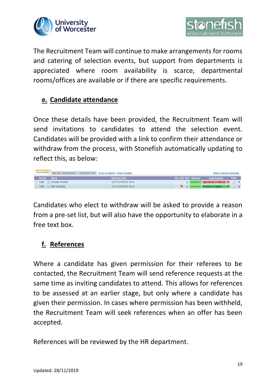



The Recruitment Team will continue to make arrangements for rooms and catering of selection events, but support from departments is appreciated where room availability is scarce, departmental rooms/offices are available or if there are specific requirements.

# **e. Candidate attendance**

Once these details have been provided, the Recruitment Team will send invitations to candidates to attend the selection event. Candidates will be provided with a link to confirm their attendance or withdraw from the process, with Stonefish automatically updating to reflect this, as below:



Candidates who elect to withdraw will be asked to provide a reason from a pre-set list, but will also have the opportunity to elaborate in a free text box.

# **f. References**

Where a candidate has given permission for their referees to be contacted, the Recruitment Team will send reference requests at the same time as inviting candidates to attend. This allows for references to be assessed at an earlier stage, but only where a candidate has given their permission. In cases where permission has been withheld, the Recruitment Team will seek references when an offer has been accepted.

References will be reviewed by the HR department.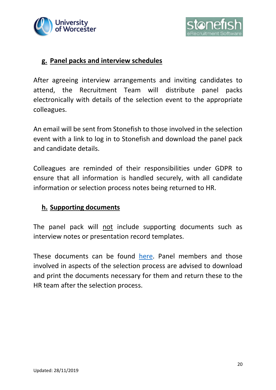



#### **g. Panel packs and interview schedules**

After agreeing interview arrangements and inviting candidates to attend, the Recruitment Team will distribute panel packs electronically with details of the selection event to the appropriate colleagues.

An email will be sent from Stonefish to those involved in the selection event with a link to log in to Stonefish and download the panel pack and candidate details.

Colleagues are reminded of their responsibilities under GDPR to ensure that all information is handled securely, with all candidate information or selection process notes being returned to HR.

#### **h. Supporting documents**

The panel pack will not include supporting documents such as interview notes or presentation record templates.

These documents can be found [here.](https://www2.worc.ac.uk/personnel/765.htm) Panel members and those involved in aspects of the selection process are advised to download and print the documents necessary for them and return these to the HR team after the selection process.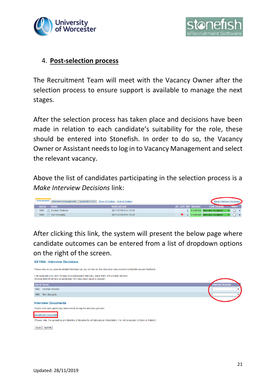



#### 4. **Post-selection process**

The Recruitment Team will meet with the Vacancy Owner after the selection process to ensure support is available to manage the next stages.

After the selection process has taken place and decisions have been made in relation to each candidate's suitability for the role, these should be entered into Stonefish. In order to do so, the Vacancy Owner or Assistant needs to log in to Vacancy Management and select the relevant vacancy.

Above the list of candidates participating in the selection process is a *Make Interview Decisions* link:

| Interviewees |                       | Interview Arrangements   Application Grid   Show All Details   Hide All Details |  |                     | <b>Make Interview Decisions</b>  |       |
|--------------|-----------------------|---------------------------------------------------------------------------------|--|---------------------|----------------------------------|-------|
| App Id       | <b>Name</b>           | <b>Next/Last Visit</b>                                                          |  | AR COS Ref Decision | <b>Final Decision</b>            | Notes |
| 1092         | <b>Hannah Webster</b> | 30/11/2019 from 10:00                                                           |  |                     | 0 Shortlisted Interview Accepted |       |
| 1095         | Tom Geraghty          | 30/11/2019 from 10:00                                                           |  |                     | 0 Shortlisted Interview Accepted |       |

After clicking this link, the system will present the below page where candidate outcomes can be entered from a list of dropdown options on the right of the screen.

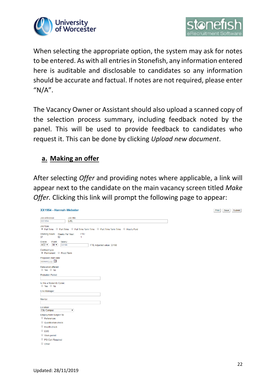



When selecting the appropriate option, the system may ask for notes to be entered. As with all entries in Stonefish, any information entered here is auditable and disclosable to candidates so any information should be accurate and factual. If notes are not required, please enter " $N/A$ ".

The Vacancy Owner or Assistant should also upload a scanned copy of the selection process summary, including feedback noted by the panel. This will be used to provide feedback to candidates who request it. This can be done by clicking *Upload new document*.

# **a. Making an offer**

After selecting *Offer* and providing notes where applicable, a link will appear next to the candidate on the main vacancy screen titled *Make Offer.* Clicking this link will prompt the following page to appear:

| Job reference:<br>Job title:                                                                              |  |
|-----------------------------------------------------------------------------------------------------------|--|
| <b>XX1954</b><br><b>L/SL</b>                                                                              |  |
| Job type:                                                                                                 |  |
| FTE:<br>Working hours: Weeks Per Year:<br>52<br>1<br>37                                                   |  |
| Grade:<br>Point:<br>Salary:<br>$AC2$ $\blacktriangledown$<br>$30 -$<br>33198<br>FTE Adjusted value: 33198 |  |
| Contract type:<br>● Permanent ● Fixed Term                                                                |  |
| Proposed start date:<br>dd/mm/yyyy                                                                        |  |
| <b>Relocation offered:</b><br>○ Yes ○ No                                                                  |  |
| <b>Probation Period:</b>                                                                                  |  |
| Is this a Maternity Cover:<br>◎ Yes ◎ No                                                                  |  |
| Line Manager:                                                                                             |  |
|                                                                                                           |  |
| Mentor:                                                                                                   |  |
| Location:<br><b>City Campus</b><br>۰.                                                                     |  |
| Employment Subject To:<br>References                                                                      |  |
| Qualification check                                                                                       |  |
| <b>Health check</b>                                                                                       |  |
| $\Box$ DBS                                                                                                |  |
| Work permit                                                                                               |  |
| PG Cert Required                                                                                          |  |
| Other                                                                                                     |  |

Print Save Submit